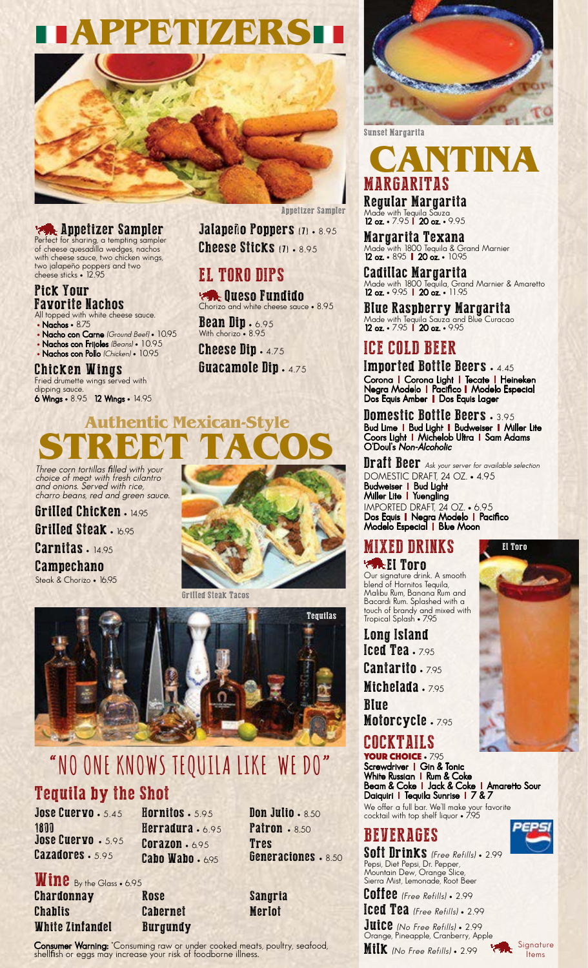# **APPETIZERSIT**



#### Appetizer Sampler Perfect for sharing, a tempting sampler

of cheese quesadilla wedges, nachos with cheese sauce, two chicken wings, two jalapeño poppers and two cheese sticks • 12.95

#### Pick Your Favorite Nachos

All topped with white cheese sauce. • Nachos • 8.75

• Nacho con Carne (Ground Beef) • 10.95

Carnitas. 14.95

Campechano Steak & Chorizo • 16.95

- Nachos con Frijoles (Beans) 10.95
- Nachos con Pollo (Chicken) 10.95

Chicken Wings<br>Fried drumette wings served with dipping sauce. 6 Wings • 8.95 12 Wings • 14.95 Appetizer Sampler

Jalapeño Poppers (7) · 8.95 Cheese Sticks (7) · 8.95

# EL TORO DIPS<br>**El T**oueso Fundido

Chorizo and white cheese sauce • 8.95

**Bean Dip • 6.95**<br>With chorizo • 8.95 Cheese Dip • 4.75 Guacamole Dip . 4.75



Grilled Steak Tacos



# Tequila by the Shot **"NO ONE KNOWS TEQUILA LIKE WE DO"**

Hornitos · 5.95

Jose Cuervo . 5.45 1800 Jose Cuervo · 5.95 Cazadores · 5.95

Herradura · 6.95 Corazon · 6.95 Cabo Wabo • 6.95

**MINE** By the Glass • 6.95 Chardonnay Chablis White Zinfandel

Rose Cabernet Burgundy **Don Julio · 8.50 Patron** • 8.50 Tres Generaciones · 8.50

Sangria Merlot

Consumer Warning: "Consuming raw or under cooked meats, poultry, seafood, shellfish or eggs may increase your risk of foodborne illness.



Sunset Margarita

## MARGARITAS Regular Margarita **CANTINA**

Made with Tequila Sauza 12 oz. • 795 | 20 oz. • 9.95

Margarita Texana Made with 1800 Tequila & Grand Marnier 12 oz. • 895 | 20 oz. • 10.95

Cadillac Margarita Made with 1800 Tequila, Grand Marnier & Amaretto 12 oz. • 9.95 | 20 oz. • 11.95

Blue Raspberry Margarita Made with Tequila Sauza and Blue Curacao 12 oz. • 7.95 | 20 oz. • 9.95

## ICE COLD BEER

Imported Bottle Beers • 4.45 Corona | Corona Light | Tecate | Heineken Negra Modelo l Pacifico l Modelo Especial Dos Equis Amber | Dos Equis Lager

Domestic Bottle Beers • 3.95 Bud Lime l Bud Light l Budweiser l Miller Lite Coors Light l Michelob Ultra l Sam Adams O'Doul's Non-Alcoholic

**Draft Beer** Ask your server for available selection DOMESTIC DRAFT, 24 OZ. • 4.95 Budweiser l Bud Light Miller Lite l Yuengling IMPORTED DRAFT, 24 OZ. • 6.95 Dos Equis l Negra Modelo l Pacifico Modelo Especial l Blue Moon

#### MIXED DRINKS El Toro

Our signature drink. A smooth blend of Hornitos Tequila, Malibu Rum, Banana Rum and Bacardi Rum. Splashed with a touch of brandy and mixed with Tropical Splash • 7.95

Long Island Iced Tea . 7.95 Cantarito . 795 Michelada  $.795$ Blue

Motorcycle. 7.95 COCKTAILS

YOur Choice · 7.95 Screwdriver | Gin & Tonic White Russian l Rum & Coke Beam & Coke l Jack & Coke l Amaretto Sour Daiquiri | Tequila Sunrise | 7 & 7 We offer a full bar. We'll make your favorite cocktail with top shelf liquor • 7.95

## BEVERAGES

Soft Drinks (Free Refills) • 2.99 Pepsi, Diet Pepsi, Dr. Pepper, Mountain Dew, Orange Slice, Sierra Mist, Lemonade, Root Beer

Coffee (Free Refills) · 2.99

Iced Tea (Free Refills) · 2.99

 $J \text{uice}$  (No Free Refills)  $\cdot$  2.99 Orange, Pineapple, Cranberry, Apple

**Milk** (No Free Refills) • 2.99 **Page** Signature



El Toro

Items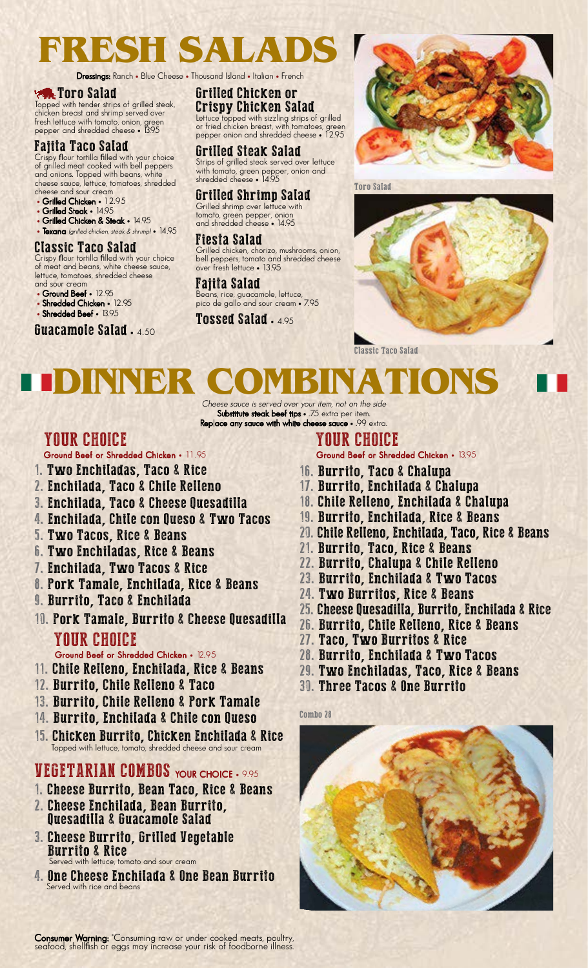# **FRESH SALA**

Dressings: Ranch • Blue Cheese • Thousand Island • Italian • French

#### Toro Salad Topped with tender strips of grilled steak,

chicken breast and shrimp served over fresh lettuce with tomato, onion, green pepper and shredded cheese • 13.95

#### Fajita Taco Salad

Crispy flour tortilla filled with your choice of grilled meat cooked with bell peppers and onions. Topped with beans, white cheese sauce, lettuce, tomatoes, shredded cheese and sour cream

- Grilled Chicken 12.95
- Grilled Steak 14.95
- Grilled Chicken & Steak 14.95
- Texana (grilled chicken, steak & shrimp) 14.95

#### Classic Taco Salad

Crispy flour tortilla filled with your choice of meat and beans, white cheese sauce, lettuce, tomatoes, shredded cheese and sour cream

- Ground Beef 12.95
- Shredded Chicken 12.95
- Shredded Beef 13.95

Guacamole Salad  $.450$ 

Grilled Chicken or Crispy Chicken Salad

Lettuce topped with sizzling strips of grilled or fried chicken breast, with tomatoes, green pepper onion and shredded cheese • 12.95

Grilled Steak Salad Strips of grilled steak served over lettuce with tomato, green pepper, onion and shredded cheese • 14.95

Grilled Shrimp Salad Grilled shrimp over lettuce with tomato, green pepper, onion and shredded cheese • 14.95

#### Fiesta Salad

Grilled chicken, chorizo, mushrooms, onion, bell peppers, tomato and shredded cheese over fresh lettuce • 13.95

Fajita Salad Beans, rice, guacamole, lettuce, pico de gallo and sour cream • 7.95

Tossed Salad  $.4.95$ 



Toro Salad



Classic Taco Salad

# **DINNER COMBINATIO**

Cheese sauce is served over your item, not on the side Substitute steak beef tips . . 75 extra per item. Replace any sauce with white cheese sauce . 99 extra.

YOUR CHOICE Ground Beef or Shredded Chicken • 11.95

- 1. Two Enchiladas, Taco & Rice
- 2. Enchilada, Taco & Chile Relleno
- 3. Enchilada, Taco & Cheese Quesadilla
- 4. Enchilada, Chile con Queso & Two Tacos
- 5. Two Tacos, Rice & Beans
- 6. Two Enchiladas, Rice & Beans
- 7. Enchilada, Two Tacos & Rice
- 8. Pork Tamale, Enchilada, Rice & Beans
- 9. Burrito, Taco & Enchilada
- 10. Pork Tamale, Burrito & Cheese Quesadilla YOUR CHOICE Ground Beef or Shredded Chicken • 12.95

- 11. Chile Relleno, Enchilada, Rice & Beans
- 12. Burrito, Chile Relleno & Taco
- 13. Burrito, Chile Relleno & Pork Tamale
- 14. Burrito, Enchilada & Chile con Queso
- 15. Chicken Burrito, Chicken Enchilada & Rice Topped with lettuce, tomato, shredded cheese and sour cream

### VEGETARIAN COMBOS YOUR CHOICE • 9.95

- 1. Cheese Burrito, Bean Taco, Rice & Beans
- 2. Cheese Enchilada, Bean Burrito, Quesadilla & Guacamole Salad
- 3. Cheese Burrito, Grilled Vegetable Burrito & Rice Served with lettuce, tomato and sour cream
- 4. One Cheese Enchilada & One Bean Burrito Served with rice and beans

# YOUR CHOICE Ground Beef or Shredded Chicken • 13.95

- 16. Burrito, Taco & Chalupa
- 17. Burrito, Enchilada & Chalupa
- 18. Chile Relleno, Enchilada & Chalupa
- 19. Burrito, Enchilada, Rice & Beans
- 20. Chile Relleno, Enchilada, Taco, Rice & Beans
- 21. Burrito, Taco, Rice & Beans
- 22. Burrito, Chalupa & Chile Relleno
- 23. Burrito, Enchilada & Two Tacos
- 24. Two Burritos, Rice & Beans
- 25. Cheese Quesadilla, Burrito, Enchilada & Rice
- 26. Burrito, Chile Relleno, Rice & Beans
- 27. Taco, Two Burritos & Rice
- 28. Burrito, Enchilada & Two Tacos
- 29. Two Enchiladas, Taco, Rice & Beans
- 30. Three Tacos & One Burrito

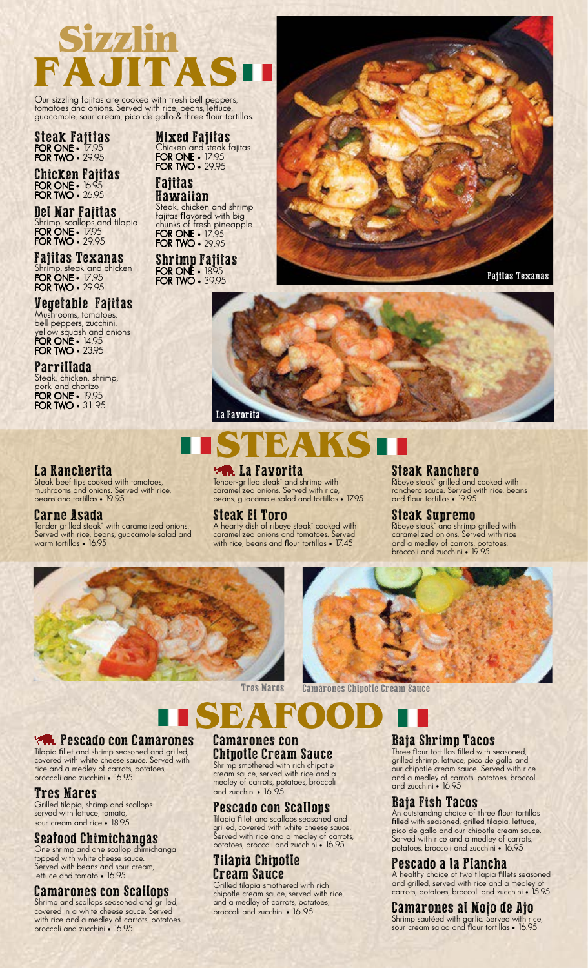# **FAJITAS Sizzlin**

Our sizzling fajitas are cooked with fresh bell peppers,<br>tomatoes and onions. Served with rice, beans, lettuce, guacamole, sour cream, pico de gallo & three *fl*our tortillas.

#### Steak Fajitas **FOR ONE • 17.95** FOR TWO • 29.95

Chicken Fajitas **FOR ONE • 16.95 FOR TWO • 26.95** 

Del Mar Fajitas Shrimp, scallops and tilapia FOR ONE • 17.95 **FOR TWO • 29.95** 

Fajitas Texanas Shrimp, steak and chicken FOR ONE • 17.95 FOR TWO • 29.95

#### Vegetable Fajitas Mushrooms, tomatoes, bell peppers, zucchini, yellow squash and onions FOR ONE • 14.95 **FOR TWO • 23.95**

Parrillada Steak, chicken, shrimp, pork and chorizo FOR ONE • 19.95 **FOR TWO • 31.95** 

#### La Rancherita

Steak beef tips cooked with tomatoes, mushrooms and onions. Served with rice, beans and tortillas • 19.95

#### Carne Asada

Tender grilled steak\* with caramelized onions. Served with rice, beans, guacamole salad and warm tortillas • 16.95

#### Mixed Fajitas Chicken and steak fajitas FOR ONE • 17.95

FOR TWO • 29.95

#### Fajitas Hawaiian

steak, chicken and shrimp<br>fajitas flavored with big fajitas flavored with big<br>chunks of fresh pineapple FOR ONE • 17.95 **FOR TWO • 29.95** 

#### Shrimp Fajitas FOR ONE • 18.95 FOR TWO • 39.95





# **BAKSH**

#### La Favorita

Tender-grilled steak\* and shrimp with caramelized onions. Served with rice, beans, guacamole salad and tortillas • 17.95

### Steak El Toro

A hearty dish of ribeye steak\* cooked with caramelized onions and tomatoes. Served with rice, beans and flour tortillas • 17.45

#### Steak Ranchero

Ribeye steak\* grilled and cooked with ranchero sauce. Served with rice, beans and flour tortillas • 19.95

#### Steak Supremo

Ribeye steak\* and shrimp grilled with caramelized onions. Served with rice and a medley of carrots, potatoes, broccoli and zucchini • 19.95



### Pescado con Camarones

Tilapia fillet and shrimp seasoned and grilled, covered with white cheese sauce. Served with rice and a medley of carrots, potatoes, broccoli and zucchini • 16.95

#### Tres Mares

Grilled tilapia, shrimp and scallops served with lettuce, tomato, sour cream and rice • 18.95

### Seafood Chimichangas

One shrimp and one scallop chimichanga<br>topped with white cheese sauce. Served with beans and sour cream, lettuce and tomato • 16.95

#### Camarones con Scallops

Shrimp and scallops seasoned and grilled, covered in a white cheese sauce. Served with rice and a medley of carrots, potatoes, broccoli and zucchini • 16.95

## Camarones con Chipotle Cream Sauce **SEAFOOD**

Shrimp smothered with rich chipotle cream sauce, served with rice and a medley of carrots, potatoes, broccoli and zucchini • 16.95

#### Pescado con Scallops

Tilapia fillet and scallops seasoned and grilled, covered with white cheese sauce. Served with rice and a medley of carrots, potatoes, broccoli and zucchini • 16.95

#### Tilapia Chipotle Cream Sauce

Grilled tilapia smothered with rich chipotle cream sauce, served with rice and a medley of carrots, potatoes, broccoli and zucchini • 16.95

### Baja Shrimp Tacos

Three flour tortillas filled with seasoned, grilled shrimp, lettuce, pico de gallo and our chipotle cream sauce. Served with rice and a medley of carrots, potatoes, broccoli and zucchini • 16.95

#### Baja Fish Tacos

An outstanding choice of three flour tortillas filled with seasoned, grilled tilapia, lettuce, pico de gallo and our chipotle cream sauce. Served with rice and a medley of carrots, potatoes, broccoli and zucchini • 16.95

#### Pescado a la Plancha

A healthy choice of two tilapia fillets seasoned and grilled, served with rice and a medley of carrots, potatoes, broccoli and zucchini • 15.95

#### Camarones al Mojo de Ajo

Shrimp sautéed with garlic. Served with rice, sour cream salad and flour tortillas • 16.95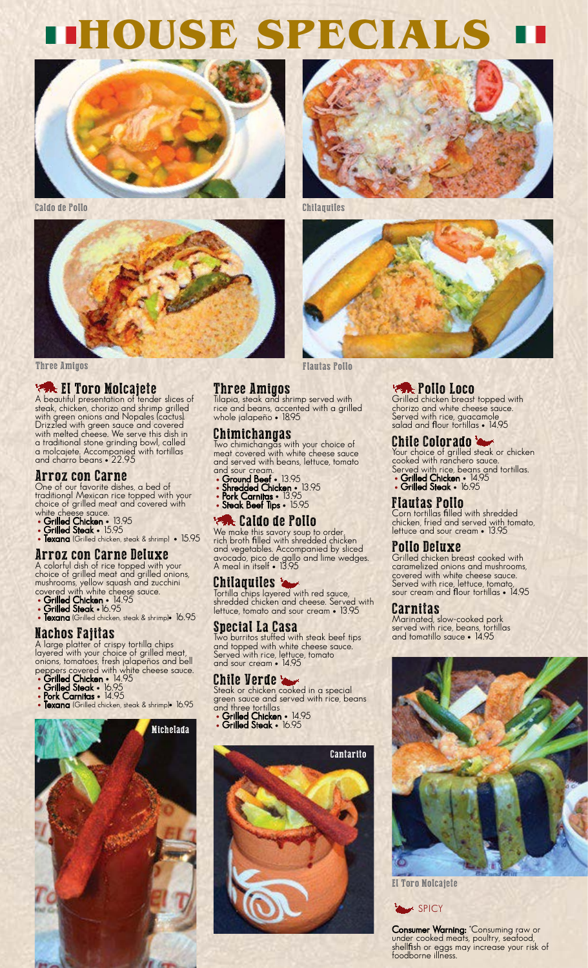# **HOUSE SPECIALS**



Caldo de Pollo Chilaquiles





### El Toro Molcajete

A beautiful presentation of tender slices of steak, chicken, chorizo and shrimp grilled with green onions and Nopales (cactus). Drizzled with green sauce and covered with melted cheese. We serve this dish in a traditional stone grinding bowl, called a molcajete. Accompanied with tortillas and charro beans • 22.95

#### Arroz con Carne

One of our favorite dishes, a bed of traditional Mexican rice topped with your choice of grilled meat and covered with white cheese sauce.

- Grilled Chicken 13.95
- Grilled Steak 15.95
- Texana (Grilled chicken, steak & shrimp) 15.95

#### Arroz con Carne Deluxe

A colorful dish of rice topped with your choice of grilled meat and grilled onions, mushrooms, yellow squash and zucchini covered with white cheese sauce.

- Grilled Chicken 14.95
- Grilled Steak 16.95 • Texana (Grilled chicken, steak & shrimp) • 16.95

**Nachos Fajitas**<br>A large platter of crispy tortilla chips layered with your choice of grilled meat, onions, tomatoes, fresh jalapeños and bell peppers covered with white cheese sauce.<br>• Grilled Chicken • 14.95

- 
- Grilled Steak 16.95
- Pork Carnitas 14.95
- Texana (Grilled chicken, steak & shrimpl• 16.95



Three Amigos<br>Tilapia, steak and shrimp served with rice and beans, accented with a grilled whole jalapeño • 18.95

## Chimichangas<br>Two chimichangas with your choice of

meat covered with white cheese sauce and served with beans, lettuce, tomato and sour cream.

- Ground Beef 13.95
- Shredded Chicken 13.95
- Pork Carnitas 13.95 • Steak Beef Tips • 15.95

#### Caldo de Pollo

We make this savory soup to order, rich broth filled with shredded chicken and vegetables. Accompanied by sliced avocado, pico de gallo and lime wedges. A meal in itself • 13.95

**Chilaquiles<br>Tortilla chips layered with red sauce,** shredded chicken and cheese. Served with lettuce, tomato and sour cream • 13.95

#### Special La Casa

Two burritos stuffed with steak beef tips and topped with white cheese sauce. Served with rice, lettuce, tomato and sour cream • 14.95

Chile Verde **Card**<br>Steak or chicken cooked in a special green sauce and served with rice, beans and three tortillas • Grilled Chicken • 14.95

• Grilled Steak • 16.95



#### Pollo Loco

Grilled chicken breast topped with chorizo and white cheese sauce. Served with rice, guacamole salad and flour tortillas • 14.95

## Chile Colorado<br>Your choice of grilled steak or chicken

cooked with ranchero sauce. Served with rice, beans and tortillas. • Grilled Chicken • 14.95

• Grilled Steak • 16.95

#### Flautas Pollo

Corn tortillas filled with shredded chicken, fried and served with tomato, lettuce and sour cream • 13.95

#### Pollo Deluxe

Grilled chicken breast cooked with caramelized onions and mushrooms, covered with white cheese sauce. Served with rice, lettuce, tomato, sour cream and flour tortillas • 14.95

#### Carnitas

Marinated, slow-cooked pork served with rice, beans, tortillas and tomatillo sauce • 14.95



El Toro Molcajete



**Consumer Warning: "Consuming raw or** under cooked meats, poultry, seafood, shellfish or eggs may increase your risk of<br>foodborne illness.

Three Amigos Flautas Pollo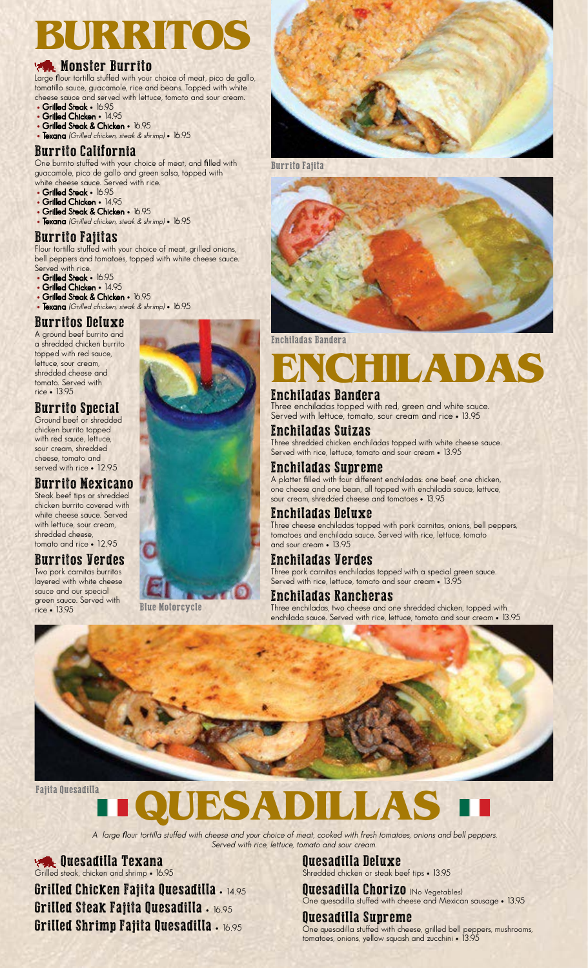# **BURRITOS**

### Monster Burrito

Large flour tortilla stuffed with your choice of meat, pico de gallo, tomatillo sauce, guacamole, rice and beans. Topped with white cheese sauce and served with lettuce, tomato and sour cream.

- Grilled Steak 16.95
- Grilled Chicken 14.95
- Grilled Steak & Chicken 16.95 **Texana** (Grilled chicken, steak & shrimp) • 16.95

### Burrito California

One burrito stuffed with your choice of meat, and filled with guacamole, pico de gallo and green salsa, topped with white cheese sauce. Served with rice.

- Grilled Steak 16.95
- Grilled Chicken 14.95
- Grilled Steak & Chicken 16.95
- Texana (Grilled chicken, steak & shrimp) 16.95

#### Burrito Fajitas

Flour tortilla stuffed with your choice of meat, grilled onions, bell peppers and tomatoes, topped with white cheese sauce. Served with rice.

- Grilled Steak 16.95
- Grilled Chicken 14.95
- Grilled Steak & Chicken 16.95
- Texana (Grilled chicken, steak & shrimp) 16.95

#### Burritos Deluxe

A ground beef burrito and a shredded chicken burrito topped with red sauce, lettuce, sour cream, shredded cheese and tomato. Served with rice • 13.95

#### Burrito Special

Ground beef or shredded chicken burrito topped with red sauce, lettuce, sour cream, shredded cheese, tomato and served with rice • 12.95

#### Burrito Mexicano

Steak beef tips or shredded chicken burrito covered with white cheese sauce. Served with lettuce, sour cream, shredded cheese, tomato and rice • 12.95

### Burritos Verdes

Two pork carnitas burritos layered with white cheese sauce and our special green sauce. Served with rice • 13.95



Blue Motorcycle



Burrito Fajita



Enchiladas Bandera

# **ENCHILADAS**

#### Enchiladas Bandera

Three enchiladas topped with red, green and white sauce. Served with lettuce, tomato, sour cream and rice • 13.95

Enchiladas Suizas Three shredded chicken enchiladas topped with white cheese sauce. Served with rice, lettuce, tomato and sour cream • 13.95

#### Enchiladas Supreme

A platter filled with four different enchiladas: one beef, one chicken, one cheese and one bean, all topped with enchilada sauce, lettuce, sour cream, shredded cheese and tomatoes • 13.95

#### Enchiladas Deluxe

Three cheese enchiladas topped with pork carnitas, onions, bell peppers, tomatoes and enchilada sauce. Served with rice, lettuce, tomato and sour cream • 13.95

#### Enchiladas Verdes

Three pork carnitas enchiladas topped with a special green sauce. Served with rice, lettuce, tomato and sour cream • 13.95

#### Enchiladas Rancheras

Three enchiladas, two cheese and one shredded chicken, topped with enchilada sauce. Served with rice, lettuce, tomato and sour cream • 13.95

Fajita Quesadilla



A large flour tortilla stuffed with cheese and your choice of meat, cooked with fresh tomatoes, onions and bell peppers. Served with rice, lettuce, tomato and sour cream.

 Quesadilla Texana Grilled steak, chicken and shrimp • 16.95

Grilled Chicken Fajita Quesadilla • 14.95 Grilled Steak Fajita Quesadilla • 16.95 Grilled Shrimp Fajita Quesadilla • 16.95

Quesadilla Deluxe

Shredded chicken or steak beef tips • 13.95

Quesadilla Chorizo (No Vegetables) One quesadilla stuffed with cheese and Mexican sausage • 13.95

### Quesadilla Supreme

One quesadilla stuffed with cheese, grilled bell peppers, mushrooms, tomatoes, onions, yellow squash and zucchini • 13.95